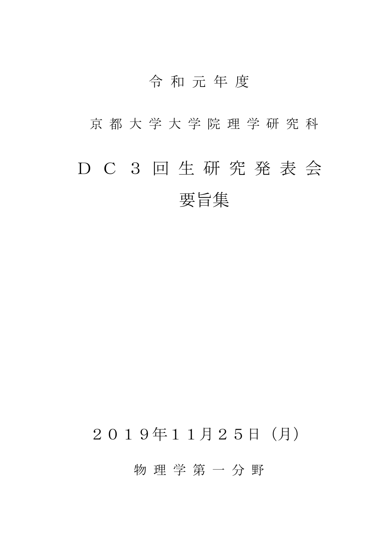## 令 和 元 年 度

京 都 大 学 大 学 院 理 学 研 究 科

# D C 3 回 生 研 究 発 表 会 要旨集

# 2019年11月25日(月)

物 理 学 第 一 分 野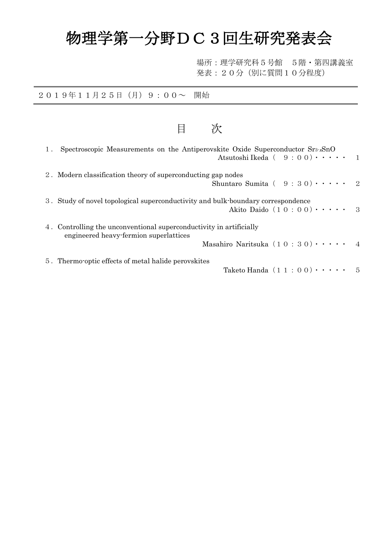# 物理学第一分野DC3回生研究発表会

目 次

場所:理学研究科5号館 5階・第四講義室 発表:20分(別に質問10分程度)

### 2019年11月25日(月)9:00~ 開始

| 1. | Spectroscopic Measurements on the Antiperovskite Oxide Superconductor $Sr_3$ . $SnO$<br>Atsutoshi Ikeda ( $9:00$ ) $\cdots$ 1                                               |              |
|----|-----------------------------------------------------------------------------------------------------------------------------------------------------------------------------|--------------|
|    | 2. Modern classification theory of superconducting gap nodes<br>Shuntaro Sumita ( $9:30$ ) $\cdots$                                                                         | - 2          |
|    | 3. Study of novel topological superconductivity and bulk-boundary correspondence<br>Akito Daido $(1 0: 0 0) \cdot \cdot \cdot \cdot$                                        | $\mathbf{R}$ |
|    | 4. Controlling the unconventional superconductivity in artificially<br>engineered heavy-fermion superlattices<br>Masahiro Naritsuka $(1 0 : 3 0) \cdot \cdot \cdot \cdot 4$ |              |
|    | 5. Thermo-optic effects of metal halide perovskites<br>Taketo Handa $(11:00) \cdot \cdot \cdot \cdot$                                                                       | .5           |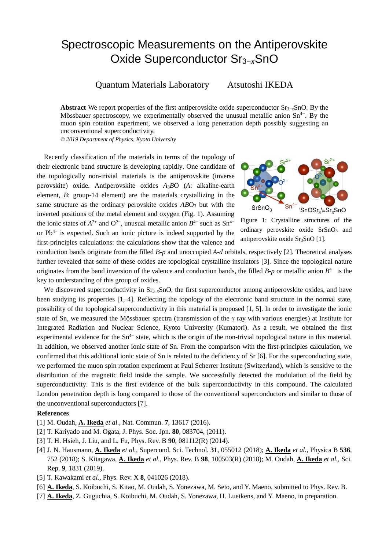### Spectroscopic Measurements on the Antiperovskite Oxide Superconductor Sr3−*<sup>x</sup>*SnO

Quantum Materials Laboratory Atsutoshi IKEDA

**Abstract** We report properties of the first antiperovskite oxide superconductor Sr3−*x*SnO. By the Mössbauer spectroscopy, we experimentally observed the unusual metallic anion  $Sn^{4-}$ . By the muon spin rotation experiment, we observed a long penetration depth possibly suggesting an unconventional superconductivity.

*© 2019 Department of Physics, Kyoto University*

Recently classification of the materials in terms of the topology of their electronic band structure is developing rapidly. One candidate of the topologically non-trivial materials is the antiperovskite (inverse perovskite) oxide. Antiperovskite oxides *A*3*B*O (*A*: alkaline-earth element, *B*: group-14 element) are the materials crystallizing in the same structure as the ordinary perovskite oxides *AB*O<sub>3</sub> but with the inverted positions of the metal element and oxygen (Fig. 1). Assuming the ionic states of  $A^{2+}$  and  $O^{2-}$ , unusual metallic anion  $B^{4-}$  such as  $Sn^{4-}$ or Pb4− is expected. Such an ionic picture is indeed supported by the first-principles calculations: the calculations show that the valence and



Figure 1: Crystalline structures of the ordinary perovskite oxide SrSnO<sub>3</sub> and antiperovskite oxide Sr<sub>3</sub>SnO [1].

conduction bands originate from the filled *B*-*p* and unoccupied *A*-*d* orbitals, respectively [2]. Theoretical analyses further revealed that some of these oxides are topological crystalline insulators [3]. Since the topological nature originates from the band inversion of the valence and conduction bands, the filled *B*-*p* or metallic anion  $B^{4-}$  is the key to understanding of this group of oxides.

We discovered superconductivity in Sr<sub>3−x</sub>SnO, the first superconductor among antiperovskite oxides, and have been studying its properties [1, 4]. Reflecting the topology of the electronic band structure in the normal state, possibility of the topological superconductivity in this material is proposed [1, 5]. In order to investigate the ionic state of Sn, we measured the Mössbauer spectra (transmission of the  $\gamma$  ray with various energies) at Institute for Integrated Radiation and Nuclear Science, Kyoto University (Kumatori). As a result, we obtained the first experimental evidence for the  $Sn^{4-}$  state, which is the origin of the non-trivial topological nature in this material. In addition, we observed another ionic state of Sn. From the comparison with the first-principles calculation, we confirmed that this additional ionic state of Sn is related to the deficiency of Sr [6]. For the superconducting state, we performed the muon spin rotation experiment at Paul Scherrer Institute (Switzerland), which is sensitive to the distribution of the magnetic field inside the sample. We successfully detected the modulation of the field by superconductivity. This is the first evidence of the bulk superconductivity in this compound. The calculated London penetration depth is long compared to those of the conventional superconductors and similar to those of the unconventional superconductors [7].

- [1] M. Oudah, **A. Ikeda** *et al.*, Nat. Commun. **7**, 13617 (2016).
- [2] T. Kariyado and M. Ogata, J. Phys. Soc. Jpn. **80**, 083704, (2011).
- [3] T. H. Hsieh, J. Liu, and L. Fu, Phys. Rev. B **90**, 081112(R) (2014).
- [4] J. N. Hausmann, **A. Ikeda** *et al.*, Supercond. Sci. Technol. **31**, 055012 (2018); **A. Ikeda** *et al.*, Physica B **536**, 752 (2018); S. Kitagawa, **A. Ikeda** *et al.*, Phys. Rev. B **98**, 100503(R) (2018); M. Oudah, **A. Ikeda** *et al.*, Sci. Rep. **9**, 1831 (2019).
- [5] T. Kawakami *et al.*, Phys. Rev. X **8**, 041026 (2018).
- [6] **A. Ikeda**, S. Koibuchi, S. Kitao, M. Oudah, S. Yonezawa, M. Seto, and Y. Maeno, submitted to Phys. Rev. B.
- [7] **A. Ikeda**, Z. Guguchia, S. Koibuchi, M. Oudah, S. Yonezawa, H. Luetkens, and Y. Maeno, in preparation.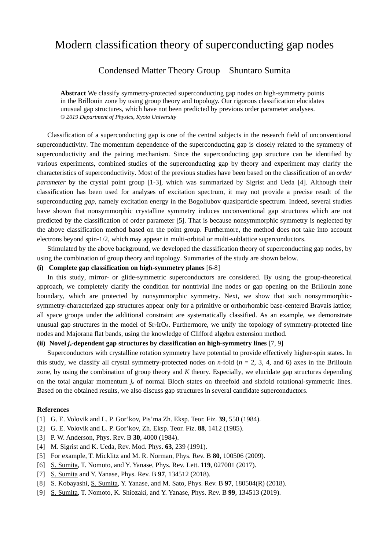### Modern classification theory of superconducting gap nodes

### Condensed Matter Theory Group Shuntaro Sumita

**Abstract** We classify symmetry-protected superconducting gap nodes on high-symmetry points in the Brillouin zone by using group theory and topology. Our rigorous classification elucidates unusual gap structures, which have not been predicted by previous order parameter analyses. *© 2019 Department of Physics, Kyoto University* 

Classification of a superconducting gap is one of the central subjects in the research field of unconventional superconductivity. The momentum dependence of the superconducting gap is closely related to the symmetry of superconductivity and the pairing mechanism. Since the superconducting gap structure can be identified by various experiments, combined studies of the superconducting gap by theory and experiment may clarify the characteristics of superconductivity. Most of the previous studies have been based on the classification of an *order parameter* by the crystal point group [1-3], which was summarized by Sigrist and Ueda [4]. Although their classification has been used for analyses of excitation spectrum, it may not provide a precise result of the superconducting *gap*, namely excitation energy in the Bogoliubov quasiparticle spectrum. Indeed, several studies have shown that nonsymmorphic crystalline symmetry induces unconventional gap structures which are not predicted by the classification of order parameter [5]. That is because nonsymmorphic symmetry is neglected by the above classification method based on the point group. Furthermore, the method does not take into account electrons beyond spin-1/2, which may appear in multi-orbital or multi-sublattice superconductors.

Stimulated by the above background, we developed the classification theory of superconducting gap nodes, by using the combination of group theory and topology. Summaries of the study are shown below.

### **(i) Complete gap classification on high-symmetry planes** [6-8]

In this study, mirror- or glide-symmetric superconductors are considered. By using the group-theoretical approach, we completely clarify the condition for nontrivial line nodes or gap opening on the Brillouin zone boundary, which are protected by nonsymmorphic symmetry. Next, we show that such nonsymmorphicsymmetry-characterized gap structures appear only for a primitive or orthorhombic base-centered Bravais lattice; all space groups under the additional constraint are systematically classified. As an example, we demonstrate unusual gap structures in the model of  $Sr<sub>2</sub>IrO<sub>4</sub>$ . Furthermore, we unify the topology of symmetry-protected line nodes and Majorana flat bands, using the knowledge of Clifford algebra extension method.

### **(ii) Novel** *jz***-dependent gap structures by classification on high-symmetry lines** [7, 9]

Superconductors with crystalline rotation symmetry have potential to provide effectively higher-spin states. In this study, we classify all crystal symmetry-protected nodes on *n*-fold ( $n = 2, 3, 4$ , and 6) axes in the Brillouin zone, by using the combination of group theory and *K* theory. Especially, we elucidate gap structures depending on the total angular momentum  $j<sub>z</sub>$  of normal Bloch states on threefold and sixfold rotational-symmetric lines. Based on the obtained results, we also discuss gap structures in several candidate superconductors.

- [1] G. E. Volovik and L. P. Gor'kov, Pis'ma Zh. Eksp. Teor. Fiz. **39**, 550 (1984).
- [2] G. E. Volovik and L. P. Gor'kov, Zh. Eksp. Teor. Fiz. **88**, 1412 (1985).
- [3] P. W. Anderson, Phys. Rev. B **30**, 4000 (1984).
- [4] M. Sigrist and K. Ueda, Rev. Mod. Phys. **63**, 239 (1991).
- [5] For example, T. Micklitz and M. R. Norman, Phys. Rev. B **80**, 100506 (2009).
- [6] S. Sumita, T. Nomoto, and Y. Yanase, Phys. Rev. Lett. **119**, 027001 (2017).
- [7] S. Sumita and Y. Yanase, Phys. Rev. B **97**, 134512 (2018).
- [8] S. Kobayashi, S. Sumita, Y. Yanase, and M. Sato, Phys. Rev. B **97**, 180504(R) (2018).
- [9] S. Sumita, T. Nomoto, K. Shiozaki, and Y. Yanase, Phys. Rev. B **99**, 134513 (2019).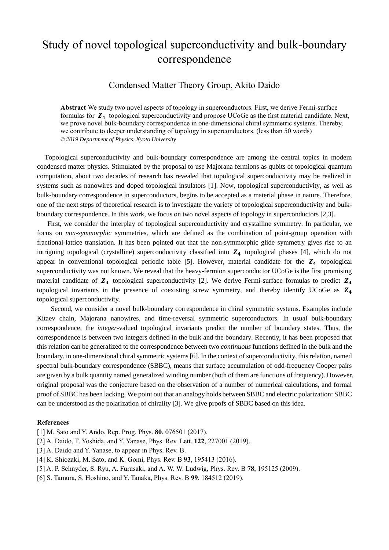### Study of novel topological superconductivity and bulk-boundary correspondence

### Condensed Matter Theory Group, Akito Daido

**Abstract** We study two novel aspects of topology in superconductors. First, we derive Fermi-surface formulas for  $Z<sub>4</sub>$  topological superconductivity and propose UCoGe as the first material candidate. Next, we prove novel bulk-boundary correspondence in one-dimensional chiral symmetric systems. Thereby, we contribute to deeper understanding of topology in superconductors. (less than 50 words) *© 2019 Department of Physics, Kyoto University*

Topological superconductivity and bulk-boundary correspondence are among the central topics in modern condensed matter physics. Stimulated by the proposal to use Majorana fermions as qubits of topological quantum computation, about two decades of research has revealed that topological superconductivity may be realized in systems such as nanowires and doped topological insulators [1]. Now, topological superconductivity, as well as bulk-boundary correspondence in superconductors, begins to be accepted as a material phase in nature. Therefore, one of the next steps of theoretical research is to investigate the variety of topological superconductivity and bulkboundary correspondence. In this work, we focus on two novel aspects of topology in superconductors [2,3].

 First, we consider the interplay of topological superconductivity and crystalline symmetry. In particular, we focus on *non-symmorphic* symmetries, which are defined as the combination of point-group operation with fractional-lattice translation. It has been pointed out that the non-symmorphic glide symmetry gives rise to an intriguing topological (crystalline) superconductivity classified into  $Z_4$  topological phases [4], which do not appear in conventional topological periodic table [5]. However, material candidate for the  $Z_4$  topological superconductivity was not known. We reveal that the heavy-fermion superconductor UCoGe is the first promising material candidate of  $Z_4$  topological superconductivity [2]. We derive Fermi-surface formulas to predict  $Z_4$ topological invariants in the presence of coexisting screw symmetry, and thereby identify UCoGe as  $Z_4$ topological superconductivity.

 Second, we consider a novel bulk-boundary correspondence in chiral symmetric systems. Examples include Kitaev chain, Majorana nanowires, and time-reversal symmetric superconductors. In usual bulk-boundary correspondence, the *integer*-valued topological invariants predict the number of boundary states. Thus, the correspondence is between two integers defined in the bulk and the boundary. Recently, it has been proposed that this relation can be generalized to the correspondence between two *continuous* functions defined in the bulk and the boundary, in one-dimensional chiral symmetric systems [6]. In the context of superconductivity, this relation, named spectral bulk-boundary correspondence (SBBC), means that surface accumulation of odd-frequency Cooper pairs are given by a bulk quantity named generalized winding number (both of them are functions of frequency). However, original proposal was the conjecture based on the observation of a number of numerical calculations, and formal proof of SBBC has been lacking. We point out that an analogy holds between SBBC and electric polarization: SBBC can be understood as the polarization of chirality [3]. We give proofs of SBBC based on this idea.

- [1] M. Sato and Y. Ando, Rep. Prog. Phys. **80**, 076501 (2017).
- [2] A. Daido, T. Yoshida, and Y. Yanase, Phys. Rev. Lett. **122**, 227001 (2019).
- [3] A. Daido and Y. Yanase, to appear in Phys. Rev. B.
- [4] K. Shiozaki, M. Sato, and K. Gomi, Phys. Rev. B **93**, 195413 (2016).
- [5] A. P. Schnyder, S. Ryu, A. Furusaki, and A. W. W. Ludwig, Phys. Rev. B **78**, 195125 (2009).
- [6] S. Tamura, S. Hoshino, and Y. Tanaka, Phys. Rev. B **99**, 184512 (2019).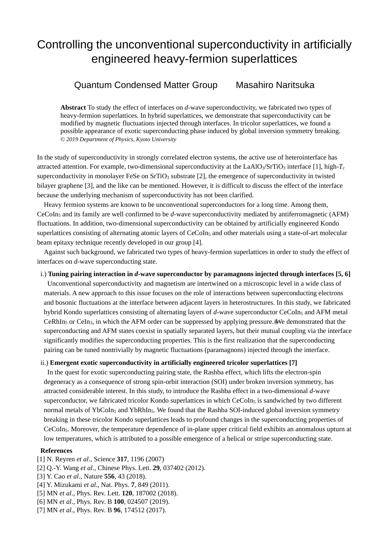### Controlling the unconventional superconductivity in artificially engineered heavy-fermion superlattices

### Quantum Condensed Matter Group Masahiro Naritsuka

**Abstract** To study the effect of interfaces on *d*-wave superconductivity, we fabricated two types of heavy-fermion superlattices. In hybrid superlattices, we demonstrate that superconductivity can be modified by magnetic fluctuations injected through interfaces. In tricolor superlattices, we found a possible appearance of exotic superconducting phase induced by global inversion symmetry breaking. *© 2019 Department of Physics, Kyoto University* 

In the study of superconductivity in strongly correlated electron systems, the active use of heterointerface has attracted attention. For example, two-dimensional superconductivity at the LaAlO<sub>3</sub>/SrTiO<sub>3</sub> interface [1], high- $T_c$ superconductivity in monolayer FeSe on SrTiO<sub>3</sub> substrate [2], the emergence of superconductivity in twisted bilayer graphene [3], and the like can be mentioned. However, it is difficult to discuss the effect of the interface because the underlying mechanism of superconductivity has not been clarified.

Heavy fermion systems are known to be unconventional superconductors for a long time. Among them, CeCoIn5 and its family are well confirmed to be *d*-wave superconductivity mediated by antiferromagnetic (AFM) fluctuations. In addition, two-dimensional superconductivity can be obtained by artificially engineered Kondo superlattices consisting of alternating atomic layers of CeCoIn<sub>5</sub> and other materials using a state-of-art molecular beam epitaxy technique recently developed in our group [4].

Against such background, we fabricated two types of heavy-fermion superlattices in order to study the effect of interfaces on *d*-wave superconducting state.

### i.) **Tuning pairing interaction in** *d***-wave superconductor by paramagnons injected through interfaces [5, 6]**

Unconventional superconductivity and magnetism are intertwined on a microscopic level in a wide class of materials. A new approach to this issue focuses on the role of interactions between superconducting electrons and bosonic fluctuations at the interface between adjacent layers in heterostructures. In this study, we fabricated hybrid Kondo superlattices consisting of alternating layers of d-wave superconductor CeCoIn<sub>5</sub> and AFM metal  $CeRhIn<sub>5</sub>$  or CeIn<sub>3</sub>, in which the AFM order can be suppressed by applying pressure.#We demonstrated that the superconducting and AFM states coexist in spatially separated layers, but their mutual coupling via the interface significantly modifies the superconducting properties. This is the first realization that the superconducting pairing can be tuned nontrivially by magnetic fluctuations (paramagnons) injected through the interface.

### ii.) **Emergent exotic superconductivity in artificially engineered tricolor superlattices [7]**

In the quest for exotic superconducting pairing state, the Rashba effect, which lifts the electron-spin degeneracy as a consequence of strong spin-orbit interaction (SOI) under broken inversion symmetry, has attracted considerable interest. In this study, to introduce the Rashba effect in a two-dimensional *d*-wave superconductor, we fabricated tricolor Kondo superlattices in which CeCoIn<sub>5</sub> is sandwiched by two different normal metals of YbCoIn<sub>5</sub> and YbRhIn<sub>5</sub>. We found that the Rashba SOI-induced global inversion symmetry breaking in these tricolor Kondo superlattices leads to profound changes in the superconducting properties of CeCoIn5. Moreover, the temperature dependence of in-plane upper critical field exhibits an anomalous upturn at low temperatures, which is attributed to a possible emergence of a helical or stripe superconducting state.

- [1] N. Reyren *et al*., Science **317**, 1196 (2007)
- [2] Q.-Y. Wang *et al*., Chinese Phys. Lett. **29**, 037402 (2012).
- [3] Y. Cao *et al*., Nature **556**, 43 (2018).
- [4] Y. Mizukami *et al*., Nat. Phys. **7**, 849 (2011).
- [5] MN *et al*., Phys. Rev. Lett. **120**, 187002 (2018).
- [6] MN *et al*., Phys. Rev. B **100**, 024507 (2019).
- [7] MN *et al*., Phys. Rev. B **96**, 174512 (2017).